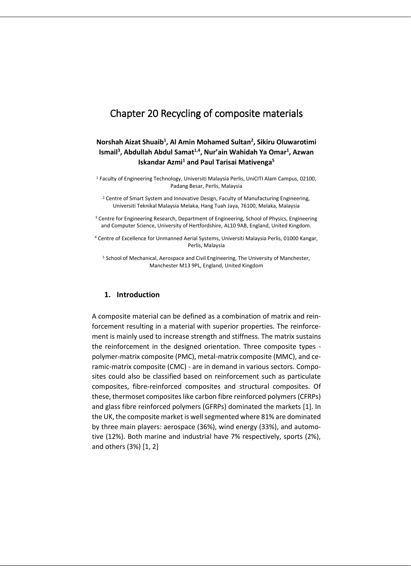# Chapter 20 Recycling of composite materials

# **Norshah Aizat Shuaib<sup>1</sup> , Al Amin Mohamed Sultan<sup>2</sup> , Sikiru Oluwarotimi Ismail<sup>3</sup> , Abdullah Abdul Samat1,4 , Nur'ain Wahidah Ya Omar<sup>1</sup> , Azwan Iskandar Azmi<sup>1</sup> and Paul Tarisai Mativenga<sup>5</sup>**

<sup>1</sup> Faculty of Engineering Technology, Universiti Malaysia Perlis, UniCITI Alam Campus, 02100, Padang Besar, Perlis, Malaysia

<sup>2</sup> Centre of Smart System and Innovative Design, Faculty of Manufacturing Engineering, Universiti Teknikal Malaysia Melaka, Hang Tuah Jaya, 76100, Melaka, Malaysia

<sup>3</sup> Centre for Engineering Research, Department of Engineering, School of Physics, Engineering and Computer Science, University of Hertfordshire, AL10 9AB, England, United Kingdom.

<sup>4</sup> Centre of Excellence for Unmanned Aerial Systems, Universiti Malaysia Perlis, 01000 Kangar, Perlis, Malaysia

<sup>5</sup> School of Mechanical, Aerospace and Civil Engineering, The University of Manchester, Manchester M13 9PL, England, United Kingdom

#### **1. Introduction**

A composite material can be defined as a combination of matrix and reinforcement resulting in a material with superior properties. The reinforcement is mainly used to increase strength and stiffness. The matrix sustains the reinforcement in the designed orientation. Three composite types polymer-matrix composite (PMC), metal-matrix composite (MMC), and ceramic-matrix composite (CMC) - are in demand in various sectors. Composites could also be classified based on reinforcement such as particulate composites, fibre-reinforced composites and structural composites. Of these, thermoset composites like carbon fibre reinforced polymers (CFRPs) and glass fibre reinforced polymers (GFRPs) dominated the markets [1]. In the UK, the composite market is well segmented where 81% are dominated by three main players: aerospace (36%), wind energy (33%), and automotive (12%). Both marine and industrial have 7% respectively, sports (2%), and others (3%) [1, 2]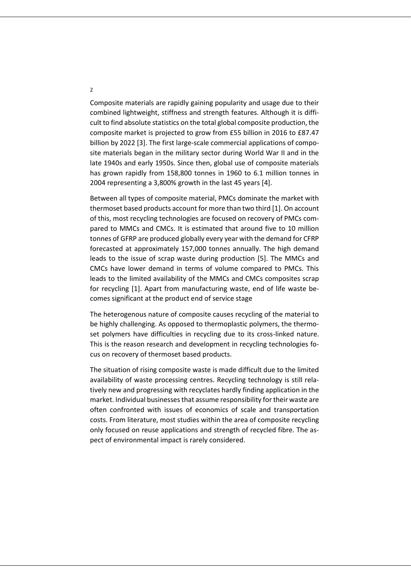Composite materials are rapidly gaining popularity and usage due to their combined lightweight, stiffness and strength features. Although it is difficult to find absolute statistics on the total global composite production, the composite market is projected to grow from £55 billion in 2016 to £87.47 billion by 2022 [3]. The first large-scale commercial applications of composite materials began in the military sector during World War II and in the late 1940s and early 1950s. Since then, global use of composite materials has grown rapidly from 158,800 tonnes in 1960 to 6.1 million tonnes in 2004 representing a 3,800% growth in the last 45 years [4].

Between all types of composite material, PMCs dominate the market with thermoset based products account for more than two third [1]. On account of this, most recycling technologies are focused on recovery of PMCs compared to MMCs and CMCs. It is estimated that around five to 10 million tonnes of GFRP are produced globally every year with the demand for CFRP forecasted at approximately 157,000 tonnes annually. The high demand leads to the issue of scrap waste during production [5]. The MMCs and CMCs have lower demand in terms of volume compared to PMCs. This leads to the limited availability of the MMCs and CMCs composites scrap for recycling [1]. Apart from manufacturing waste, end of life waste becomes significant at the product end of service stage

The heterogenous nature of composite causes recycling of the material to be highly challenging. As opposed to thermoplastic polymers, the thermoset polymers have difficulties in recycling due to its cross-linked nature. This is the reason research and development in recycling technologies focus on recovery of thermoset based products.

The situation of rising composite waste is made difficult due to the limited availability of waste processing centres. Recycling technology is still relatively new and progressing with recyclates hardly finding application in the market. Individual businesses that assume responsibility for their waste are often confronted with issues of economics of scale and transportation costs. From literature, most studies within the area of composite recycling only focused on reuse applications and strength of recycled fibre. The aspect of environmental impact is rarely considered.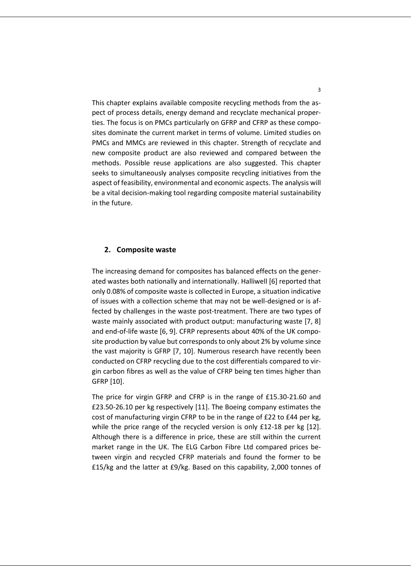This chapter explains available composite recycling methods from the aspect of process details, energy demand and recyclate mechanical properties. The focus is on PMCs particularly on GFRP and CFRP as these composites dominate the current market in terms of volume. Limited studies on PMCs and MMCs are reviewed in this chapter. Strength of recyclate and new composite product are also reviewed and compared between the methods. Possible reuse applications are also suggested. This chapter seeks to simultaneously analyses composite recycling initiatives from the aspect of feasibility, environmental and economic aspects. The analysis will be a vital decision-making tool regarding composite material sustainability in the future.

#### **2. Composite waste**

The increasing demand for composites has balanced effects on the generated wastes both nationally and internationally. Halliwell [6] reported that only 0.08% of composite waste is collected in Europe, a situation indicative of issues with a collection scheme that may not be well-designed or is affected by challenges in the waste post-treatment. There are two types of waste mainly associated with product output: manufacturing waste [7, 8] and end-of-life waste [6, 9]. CFRP represents about 40% of the UK composite production by value but corresponds to only about 2% by volume since the vast majority is GFRP [7, 10]. Numerous research have recently been conducted on CFRP recycling due to the cost differentials compared to virgin carbon fibres as well as the value of CFRP being ten times higher than GFRP [10].

The price for virgin GFRP and CFRP is in the range of £15.30-21.60 and £23.50-26.10 per kg respectively [11]. The Boeing company estimates the cost of manufacturing virgin CFRP to be in the range of £22 to £44 per kg, while the price range of the recycled version is only £12-18 per kg [12]. Although there is a difference in price, these are still within the current market range in the UK. The ELG Carbon Fibre Ltd compared prices between virgin and recycled CFRP materials and found the former to be £15/kg and the latter at £9/kg. Based on this capability, 2,000 tonnes of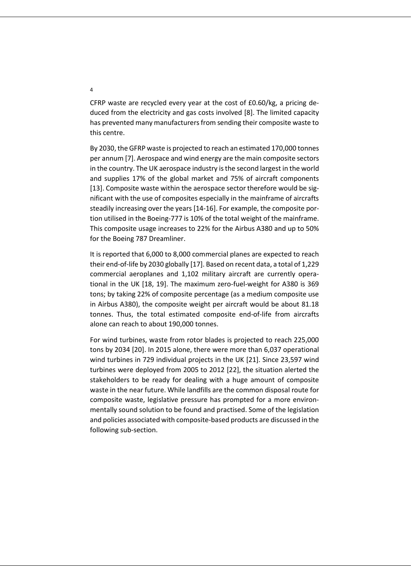CFRP waste are recycled every year at the cost of £0.60/kg, a pricing deduced from the electricity and gas costs involved [8]. The limited capacity has prevented many manufacturers from sending their composite waste to this centre.

By 2030, the GFRP waste is projected to reach an estimated 170,000 tonnes per annum [7]. Aerospace and wind energy are the main composite sectors in the country. The UK aerospace industry is the second largest in the world and supplies 17% of the global market and 75% of aircraft components [13]. Composite waste within the aerospace sector therefore would be significant with the use of composites especially in the mainframe of aircrafts steadily increasing over the years [14-16]. For example, the composite portion utilised in the Boeing-777 is 10% of the total weight of the mainframe. This composite usage increases to 22% for the Airbus A380 and up to 50% for the Boeing 787 Dreamliner.

It is reported that 6,000 to 8,000 commercial planes are expected to reach their end-of-life by 2030 globally [17]. Based on recent data, a total of 1,229 commercial aeroplanes and 1,102 military aircraft are currently operational in the UK [18, 19]. The maximum zero-fuel-weight for A380 is 369 tons; by taking 22% of composite percentage (as a medium composite use in Airbus A380), the composite weight per aircraft would be about 81.18 tonnes. Thus, the total estimated composite end-of-life from aircrafts alone can reach to about 190,000 tonnes.

For wind turbines, waste from rotor blades is projected to reach 225,000 tons by 2034 [20]. In 2015 alone, there were more than 6,037 operational wind turbines in 729 individual projects in the UK [21]. Since 23,597 wind turbines were deployed from 2005 to 2012 [22], the situation alerted the stakeholders to be ready for dealing with a huge amount of composite waste in the near future. While landfills are the common disposal route for composite waste, legislative pressure has prompted for a more environmentally sound solution to be found and practised. Some of the legislation and policies associated with composite-based products are discussed in the following sub-section.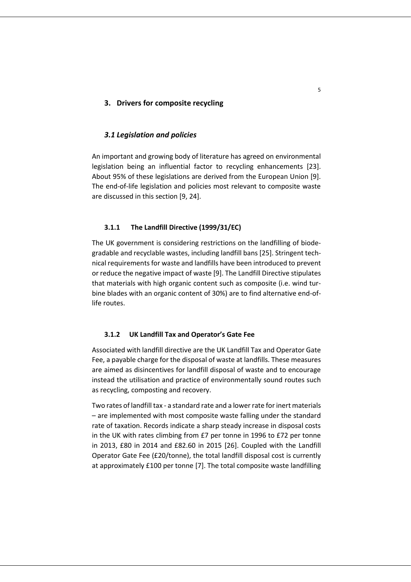## **3. Drivers for composite recycling**

#### *3.1 Legislation and policies*

An important and growing body of literature has agreed on environmental legislation being an influential factor to recycling enhancements [23]. About 95% of these legislations are derived from the European Union [9]. The end-of-life legislation and policies most relevant to composite waste are discussed in this section [9, 24].

#### **3.1.1 The Landfill Directive (1999/31/EC)**

The UK government is considering restrictions on the landfilling of biodegradable and recyclable wastes, including landfill bans [25]. Stringent technical requirements for waste and landfills have been introduced to prevent or reduce the negative impact of waste [9]. The Landfill Directive stipulates that materials with high organic content such as composite (i.e. wind turbine blades with an organic content of 30%) are to find alternative end-oflife routes.

#### **3.1.2 UK Landfill Tax and Operator's Gate Fee**

Associated with landfill directive are the UK Landfill Tax and Operator Gate Fee, a payable charge for the disposal of waste at landfills. These measures are aimed as disincentives for landfill disposal of waste and to encourage instead the utilisation and practice of environmentally sound routes such as recycling, composting and recovery.

Two rates of landfill tax - a standard rate and a lower rate for inert materials – are implemented with most composite waste falling under the standard rate of taxation. Records indicate a sharp steady increase in disposal costs in the UK with rates climbing from £7 per tonne in 1996 to £72 per tonne in 2013, £80 in 2014 and £82.60 in 2015 [26]. Coupled with the Landfill Operator Gate Fee (£20/tonne), the total landfill disposal cost is currently at approximately £100 per tonne [7]. The total composite waste landfilling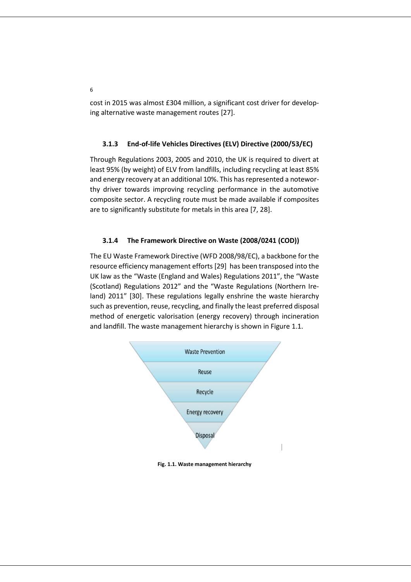cost in 2015 was almost £304 million, a significant cost driver for developing alternative waste management routes [27].

# **3.1.3 End-of-life Vehicles Directives (ELV) Directive (2000/53/EC)**

Through Regulations 2003, 2005 and 2010, the UK is required to divert at least 95% (by weight) of ELV from landfills, including recycling at least 85% and energy recovery at an additional 10%. This has represented a noteworthy driver towards improving recycling performance in the automotive composite sector. A recycling route must be made available if composites are to significantly substitute for metals in this area [7, 28].

## **3.1.4 The Framework Directive on Waste (2008/0241 (COD))**

The EU Waste Framework Directive (WFD 2008/98/EC), a backbone for the resource efficiency management efforts [29] has been transposed into the UK law as the "Waste (England and Wales) Regulations 2011", the "Waste (Scotland) Regulations 2012" and the "Waste Regulations (Northern Ireland) 2011" [30]. These regulations legally enshrine the waste hierarchy such as prevention, reuse, recycling, and finally the least preferred disposal method of energetic valorisation (energy recovery) through incineration and landfill. The waste management hierarchy is shown in Figure 1.1.



**Fig. 1.1. Waste management hierarchy**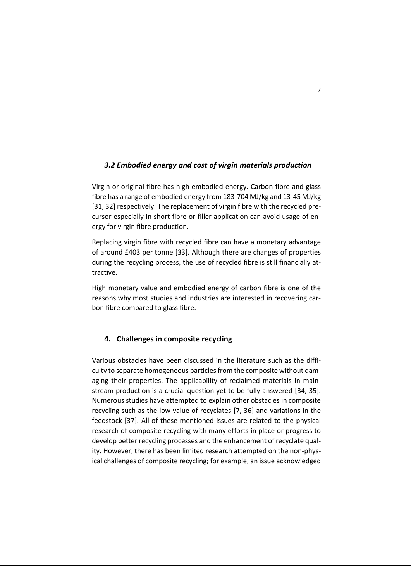# *3.2 Embodied energy and cost of virgin materials production*

Virgin or original fibre has high embodied energy. Carbon fibre and glass fibre has a range of embodied energy from 183-704 MJ/kg and 13-45 MJ/kg [31, 32] respectively. The replacement of virgin fibre with the recycled precursor especially in short fibre or filler application can avoid usage of energy for virgin fibre production.

Replacing virgin fibre with recycled fibre can have a monetary advantage of around £403 per tonne [33]. Although there are changes of properties during the recycling process, the use of recycled fibre is still financially attractive.

High monetary value and embodied energy of carbon fibre is one of the reasons why most studies and industries are interested in recovering carbon fibre compared to glass fibre.

# **4. Challenges in composite recycling**

Various obstacles have been discussed in the literature such as the difficulty to separate homogeneous particles from the composite without damaging their properties. The applicability of reclaimed materials in mainstream production is a crucial question yet to be fully answered [34, 35]. Numerous studies have attempted to explain other obstacles in composite recycling such as the low value of recyclates [7, 36] and variations in the feedstock [37]. All of these mentioned issues are related to the physical research of composite recycling with many efforts in place or progress to develop better recycling processes and the enhancement of recyclate quality. However, there has been limited research attempted on the non-physical challenges of composite recycling; for example, an issue acknowledged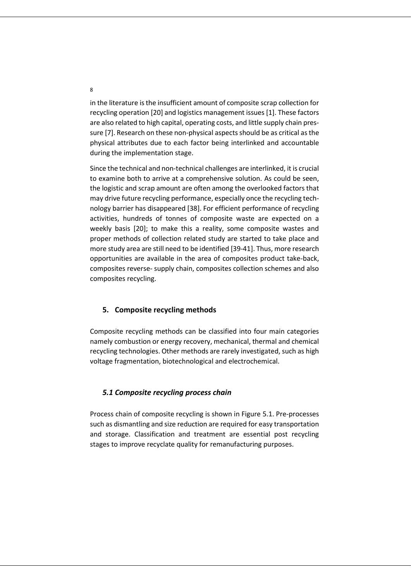in the literature is the insufficient amount of composite scrap collection for recycling operation [20] and logistics management issues [1]. These factors are also related to high capital, operating costs, and little supply chain pressure [7]. Research on these non-physical aspects should be as critical as the physical attributes due to each factor being interlinked and accountable during the implementation stage.

Since the technical and non-technical challenges are interlinked, it is crucial to examine both to arrive at a comprehensive solution. As could be seen, the logistic and scrap amount are often among the overlooked factors that may drive future recycling performance, especially once the recycling technology barrier has disappeared [38]. For efficient performance of recycling activities, hundreds of tonnes of composite waste are expected on a weekly basis [20]; to make this a reality, some composite wastes and proper methods of collection related study are started to take place and more study area are still need to be identified [39-41]. Thus, more research opportunities are available in the area of composites product take-back, composites reverse- supply chain, composites collection schemes and also composites recycling.

### **5. Composite recycling methods**

Composite recycling methods can be classified into four main categories namely combustion or energy recovery, mechanical, thermal and chemical recycling technologies. Other methods are rarely investigated, such as high voltage fragmentation, biotechnological and electrochemical.

## *5.1 Composite recycling process chain*

Process chain of composite recycling is shown in Figure 5.1. Pre-processes such as dismantling and size reduction are required for easy transportation and storage. Classification and treatment are essential post recycling stages to improve recyclate quality for remanufacturing purposes.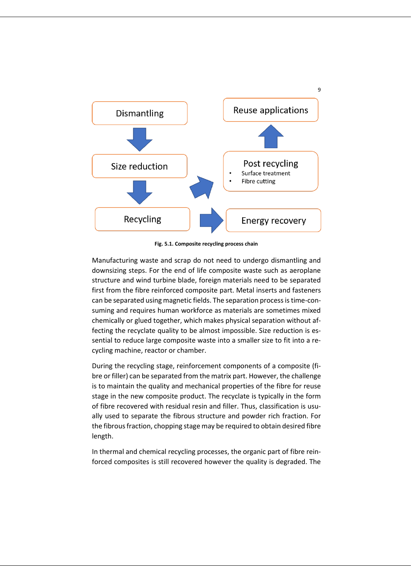

**Fig. 5.1. Composite recycling process chain**

Manufacturing waste and scrap do not need to undergo dismantling and downsizing steps. For the end of life composite waste such as aeroplane structure and wind turbine blade, foreign materials need to be separated first from the fibre reinforced composite part. Metal inserts and fasteners can be separated using magnetic fields. The separation process is time-consuming and requires human workforce as materials are sometimes mixed chemically or glued together, which makes physical separation without affecting the recyclate quality to be almost impossible. Size reduction is essential to reduce large composite waste into a smaller size to fit into a recycling machine, reactor or chamber.

During the recycling stage, reinforcement components of a composite (fibre or filler) can be separated from the matrix part. However, the challenge is to maintain the quality and mechanical properties of the fibre for reuse stage in the new composite product. The recyclate is typically in the form of fibre recovered with residual resin and filler. Thus, classification is usually used to separate the fibrous structure and powder rich fraction. For the fibrous fraction, chopping stage may be required to obtain desired fibre length.

In thermal and chemical recycling processes, the organic part of fibre reinforced composites is still recovered however the quality is degraded. The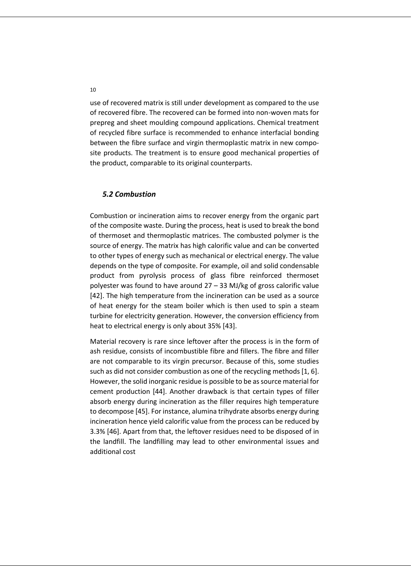use of recovered matrix is still under development as compared to the use of recovered fibre. The recovered can be formed into non-woven mats for prepreg and sheet moulding compound applications. Chemical treatment of recycled fibre surface is recommended to enhance interfacial bonding between the fibre surface and virgin thermoplastic matrix in new composite products. The treatment is to ensure good mechanical properties of the product, comparable to its original counterparts.

# *5.2 Combustion*

Combustion or incineration aims to recover energy from the organic part of the composite waste. During the process, heat is used to break the bond of thermoset and thermoplastic matrices. The combusted polymer is the source of energy. The matrix has high calorific value and can be converted to other types of energy such as mechanical or electrical energy. The value depends on the type of composite. For example, oil and solid condensable product from pyrolysis process of glass fibre reinforced thermoset polyester was found to have around 27 – 33 MJ/kg of gross calorific value [42]. The high temperature from the incineration can be used as a source of heat energy for the steam boiler which is then used to spin a steam turbine for electricity generation. However, the conversion efficiency from heat to electrical energy is only about 35% [43].

Material recovery is rare since leftover after the process is in the form of ash residue, consists of incombustible fibre and fillers. The fibre and filler are not comparable to its virgin precursor. Because of this, some studies such as did not consider combustion as one of the recycling methods [1, 6]. However, the solid inorganic residue is possible to be as source material for cement production [44]. Another drawback is that certain types of filler absorb energy during incineration as the filler requires high temperature to decompose [45]. For instance, alumina trihydrate absorbs energy during incineration hence yield calorific value from the process can be reduced by 3.3% [46]. Apart from that, the leftover residues need to be disposed of in the landfill. The landfilling may lead to other environmental issues and additional cost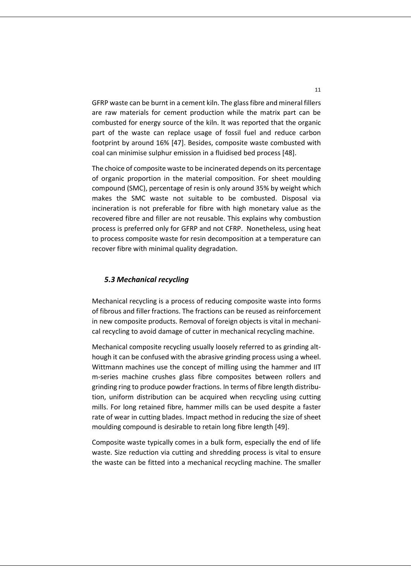GFRP waste can be burnt in a cement kiln. The glass fibre and mineral fillers are raw materials for cement production while the matrix part can be combusted for energy source of the kiln. It was reported that the organic part of the waste can replace usage of fossil fuel and reduce carbon footprint by around 16% [47]. Besides, composite waste combusted with coal can minimise sulphur emission in a fluidised bed process [48].

The choice of composite waste to be incinerated depends on its percentage of organic proportion in the material composition. For sheet moulding compound (SMC), percentage of resin is only around 35% by weight which makes the SMC waste not suitable to be combusted. Disposal via incineration is not preferable for fibre with high monetary value as the recovered fibre and filler are not reusable. This explains why combustion process is preferred only for GFRP and not CFRP. Nonetheless, using heat to process composite waste for resin decomposition at a temperature can recover fibre with minimal quality degradation.

## *5.3 Mechanical recycling*

Mechanical recycling is a process of reducing composite waste into forms of fibrous and filler fractions. The fractions can be reused as reinforcement in new composite products. Removal of foreign objects is vital in mechanical recycling to avoid damage of cutter in mechanical recycling machine.

Mechanical composite recycling usually loosely referred to as grinding although it can be confused with the abrasive grinding process using a wheel. Wittmann machines use the concept of milling using the hammer and IIT m-series machine crushes glass fibre composites between rollers and grinding ring to produce powder fractions. In terms of fibre length distribution, uniform distribution can be acquired when recycling using cutting mills. For long retained fibre, hammer mills can be used despite a faster rate of wear in cutting blades. Impact method in reducing the size of sheet moulding compound is desirable to retain long fibre length [49].

Composite waste typically comes in a bulk form, especially the end of life waste. Size reduction via cutting and shredding process is vital to ensure the waste can be fitted into a mechanical recycling machine. The smaller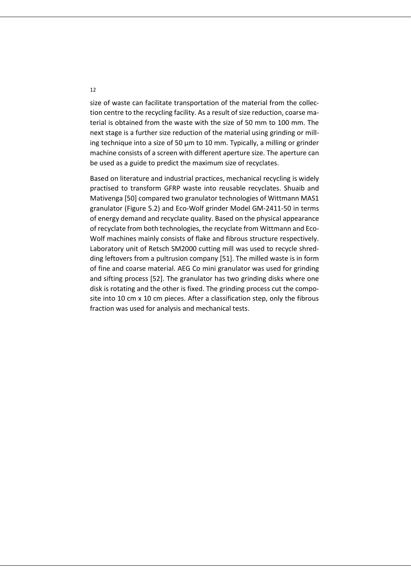size of waste can facilitate transportation of the material from the collection centre to the recycling facility. As a result of size reduction, coarse material is obtained from the waste with the size of 50 mm to 100 mm. The next stage is a further size reduction of the material using grinding or milling technique into a size of 50 µm to 10 mm. Typically, a milling or grinder machine consists of a screen with different aperture size. The aperture can be used as a guide to predict the maximum size of recyclates.

Based on literature and industrial practices, mechanical recycling is widely practised to transform GFRP waste into reusable recyclates. Shuaib and Mativenga [50] compared two granulator technologies of Wittmann MAS1 granulator (Figure 5.2) and Eco-Wolf grinder Model GM-2411-50 in terms of energy demand and recyclate quality. Based on the physical appearance of recyclate from both technologies, the recyclate from Wittmann and Eco-Wolf machines mainly consists of flake and fibrous structure respectively. Laboratory unit of Retsch SM2000 cutting mill was used to recycle shredding leftovers from a pultrusion company [51]. The milled waste is in form of fine and coarse material. AEG Co mini granulator was used for grinding and sifting process [52]. The granulator has two grinding disks where one disk is rotating and the other is fixed. The grinding process cut the composite into 10 cm x 10 cm pieces. After a classification step, only the fibrous fraction was used for analysis and mechanical tests.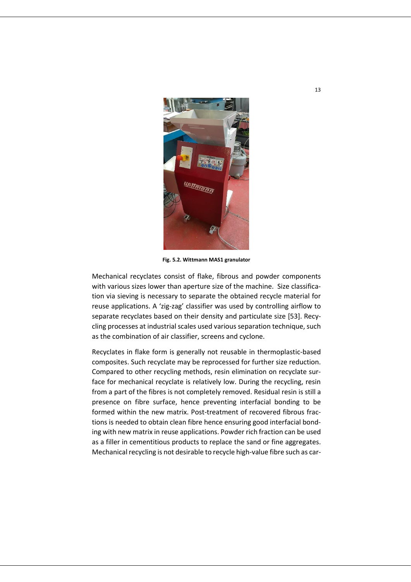

**Fig. 5.2. Wittmann MAS1 granulator**

Mechanical recyclates consist of flake, fibrous and powder components with various sizes lower than aperture size of the machine. Size classification via sieving is necessary to separate the obtained recycle material for reuse applications. A 'zig-zag' classifier was used by controlling airflow to separate recyclates based on their density and particulate size [53]. Recycling processes at industrial scales used various separation technique, such as the combination of air classifier, screens and cyclone.

Recyclates in flake form is generally not reusable in thermoplastic-based composites. Such recyclate may be reprocessed for further size reduction. Compared to other recycling methods, resin elimination on recyclate surface for mechanical recyclate is relatively low. During the recycling, resin from a part of the fibres is not completely removed. Residual resin is still a presence on fibre surface, hence preventing interfacial bonding to be formed within the new matrix. Post-treatment of recovered fibrous fractions is needed to obtain clean fibre hence ensuring good interfacial bonding with new matrix in reuse applications. Powder rich fraction can be used as a filler in cementitious products to replace the sand or fine aggregates. Mechanical recycling is not desirable to recycle high-value fibre such as car-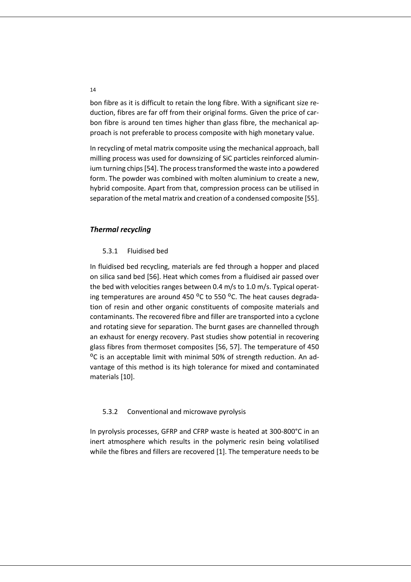bon fibre as it is difficult to retain the long fibre. With a significant size reduction, fibres are far off from their original forms. Given the price of carbon fibre is around ten times higher than glass fibre, the mechanical approach is not preferable to process composite with high monetary value.

In recycling of metal matrix composite using the mechanical approach, ball milling process was used for downsizing of SiC particles reinforced aluminium turning chips[54]. The process transformed the waste into a powdered form. The powder was combined with molten aluminium to create a new, hybrid composite. Apart from that, compression process can be utilised in separation of the metal matrix and creation of a condensed composite [55].

## *Thermal recycling*

### 5.3.1 Fluidised bed

In fluidised bed recycling, materials are fed through a hopper and placed on silica sand bed [56]. Heat which comes from a fluidised air passed over the bed with velocities ranges between 0.4 m/s to 1.0 m/s. Typical operating temperatures are around 450  $^{\circ}$ C to 550  $^{\circ}$ C. The heat causes degradation of resin and other organic constituents of composite materials and contaminants. The recovered fibre and filler are transported into a cyclone and rotating sieve for separation. The burnt gases are channelled through an exhaust for energy recovery. Past studies show potential in recovering glass fibres from thermoset composites [56, 57]. The temperature of 450 ᴼC is an acceptable limit with minimal 50% of strength reduction. An advantage of this method is its high tolerance for mixed and contaminated materials [10].

#### 5.3.2 Conventional and microwave pyrolysis

In pyrolysis processes, GFRP and CFRP waste is heated at 300-800°C in an inert atmosphere which results in the polymeric resin being volatilised while the fibres and fillers are recovered [1]. The temperature needs to be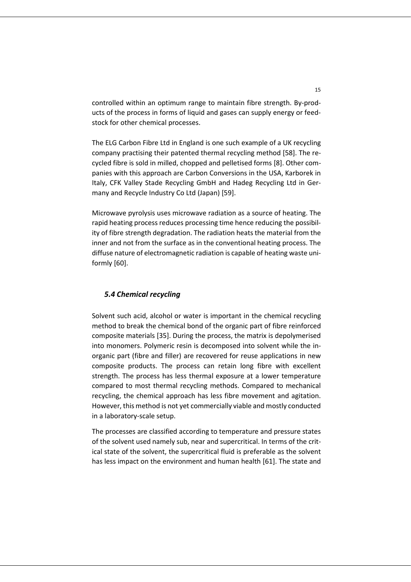controlled within an optimum range to maintain fibre strength. By-products of the process in forms of liquid and gases can supply energy or feedstock for other chemical processes.

The ELG Carbon Fibre Ltd in England is one such example of a UK recycling company practising their patented thermal recycling method [58]. The recycled fibre is sold in milled, chopped and pelletised forms [8]. Other companies with this approach are Carbon Conversions in the USA, Karborek in Italy, CFK Valley Stade Recycling GmbH and Hadeg Recycling Ltd in Germany and Recycle Industry Co Ltd (Japan) [59].

Microwave pyrolysis uses microwave radiation as a source of heating. The rapid heating process reduces processing time hence reducing the possibility of fibre strength degradation. The radiation heats the material from the inner and not from the surface as in the conventional heating process. The diffuse nature of electromagnetic radiation is capable of heating waste uniformly [60].

## *5.4 Chemical recycling*

Solvent such acid, alcohol or water is important in the chemical recycling method to break the chemical bond of the organic part of fibre reinforced composite materials [35]. During the process, the matrix is depolymerised into monomers. Polymeric resin is decomposed into solvent while the inorganic part (fibre and filler) are recovered for reuse applications in new composite products. The process can retain long fibre with excellent strength. The process has less thermal exposure at a lower temperature compared to most thermal recycling methods. Compared to mechanical recycling, the chemical approach has less fibre movement and agitation. However, this method is not yet commercially viable and mostly conducted in a laboratory-scale setup.

The processes are classified according to temperature and pressure states of the solvent used namely sub, near and supercritical. In terms of the critical state of the solvent, the supercritical fluid is preferable as the solvent has less impact on the environment and human health [61]. The state and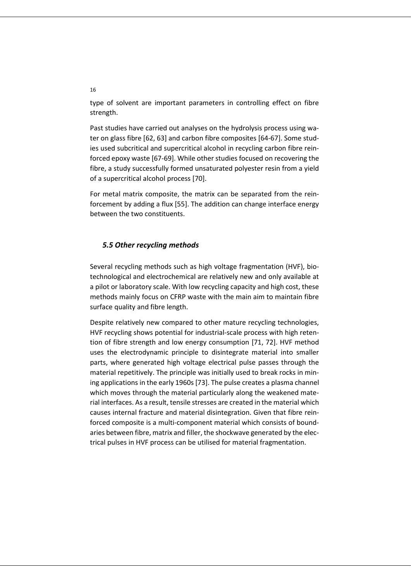type of solvent are important parameters in controlling effect on fibre strength.

Past studies have carried out analyses on the hydrolysis process using water on glass fibre [62, 63] and carbon fibre composites [64-67]. Some studies used subcritical and supercritical alcohol in recycling carbon fibre reinforced epoxy waste [67-69]. While other studies focused on recovering the fibre, a study successfully formed unsaturated polyester resin from a yield of a supercritical alcohol process [70].

For metal matrix composite, the matrix can be separated from the reinforcement by adding a flux [55]. The addition can change interface energy between the two constituents.

# *5.5 Other recycling methods*

Several recycling methods such as high voltage fragmentation (HVF), biotechnological and electrochemical are relatively new and only available at a pilot or laboratory scale. With low recycling capacity and high cost, these methods mainly focus on CFRP waste with the main aim to maintain fibre surface quality and fibre length.

Despite relatively new compared to other mature recycling technologies, HVF recycling shows potential for industrial-scale process with high retention of fibre strength and low energy consumption [71, 72]. HVF method uses the electrodynamic principle to disintegrate material into smaller parts, where generated high voltage electrical pulse passes through the material repetitively. The principle was initially used to break rocks in mining applications in the early 1960s [73]. The pulse creates a plasma channel which moves through the material particularly along the weakened material interfaces. As a result, tensile stresses are created in the material which causes internal fracture and material disintegration. Given that fibre reinforced composite is a multi-component material which consists of boundaries between fibre, matrix and filler, the shockwave generated by the electrical pulses in HVF process can be utilised for material fragmentation.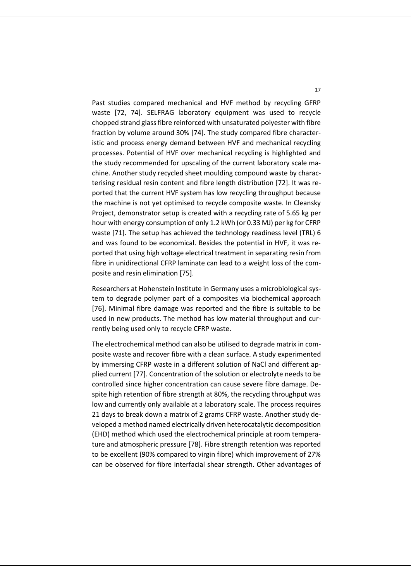Past studies compared mechanical and HVF method by recycling GFRP waste [72, 74]. SELFRAG laboratory equipment was used to recycle chopped strand glass fibre reinforced with unsaturated polyester with fibre fraction by volume around 30% [74]. The study compared fibre characteristic and process energy demand between HVF and mechanical recycling processes. Potential of HVF over mechanical recycling is highlighted and the study recommended for upscaling of the current laboratory scale machine. Another study recycled sheet moulding compound waste by characterising residual resin content and fibre length distribution [72]. It was reported that the current HVF system has low recycling throughput because the machine is not yet optimised to recycle composite waste. In Cleansky Project, demonstrator setup is created with a recycling rate of 5.65 kg per hour with energy consumption of only 1.2 kWh (or 0.33 MJ) per kg for CFRP waste [71]. The setup has achieved the technology readiness level (TRL) 6 and was found to be economical. Besides the potential in HVF, it was reported that using high voltage electrical treatment in separating resin from fibre in unidirectional CFRP laminate can lead to a weight loss of the composite and resin elimination [75].

Researchers at Hohenstein Institute in Germany uses a microbiological system to degrade polymer part of a composites via biochemical approach [76]. Minimal fibre damage was reported and the fibre is suitable to be used in new products. The method has low material throughput and currently being used only to recycle CFRP waste.

The electrochemical method can also be utilised to degrade matrix in composite waste and recover fibre with a clean surface. A study experimented by immersing CFRP waste in a different solution of NaCl and different applied current [77]. Concentration of the solution or electrolyte needs to be controlled since higher concentration can cause severe fibre damage. Despite high retention of fibre strength at 80%, the recycling throughput was low and currently only available at a laboratory scale. The process requires 21 days to break down a matrix of 2 grams CFRP waste. Another study developed a method named electrically driven heterocatalytic decomposition (EHD) method which used the electrochemical principle at room temperature and atmospheric pressure [78]. Fibre strength retention was reported to be excellent (90% compared to virgin fibre) which improvement of 27% can be observed for fibre interfacial shear strength. Other advantages of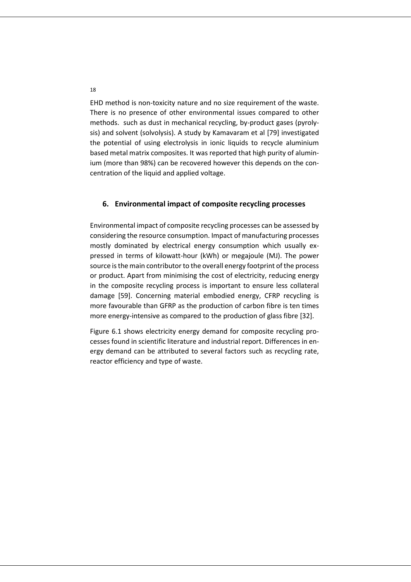EHD method is non-toxicity nature and no size requirement of the waste. There is no presence of other environmental issues compared to other methods. such as dust in mechanical recycling, by-product gases (pyrolysis) and solvent (solvolysis). A study by Kamavaram et al [79] investigated the potential of using electrolysis in ionic liquids to recycle aluminium based metal matrix composites. It was reported that high purity of aluminium (more than 98%) can be recovered however this depends on the concentration of the liquid and applied voltage.

### **6. Environmental impact of composite recycling processes**

Environmental impact of composite recycling processes can be assessed by considering the resource consumption. Impact of manufacturing processes mostly dominated by electrical energy consumption which usually expressed in terms of kilowatt-hour (kWh) or megajoule (MJ). The power source is the main contributor to the overall energy footprint of the process or product. Apart from minimising the cost of electricity, reducing energy in the composite recycling process is important to ensure less collateral damage [59]. Concerning material embodied energy, CFRP recycling is more favourable than GFRP as the production of carbon fibre is ten times more energy-intensive as compared to the production of glass fibre [32].

Figure 6.1 shows electricity energy demand for composite recycling processes found in scientific literature and industrial report. Differences in energy demand can be attributed to several factors such as recycling rate, reactor efficiency and type of waste.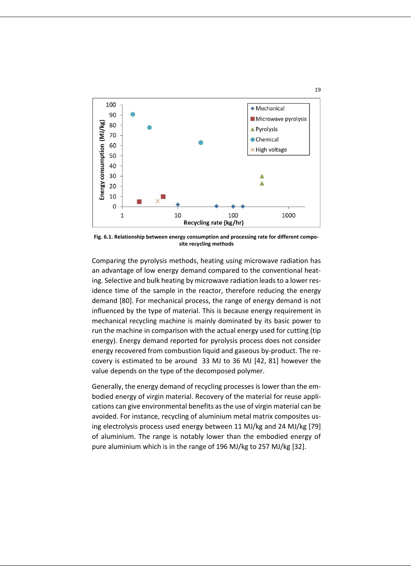

**Fig. 6.1. Relationship between energy consumption and processing rate for different composite recycling methods**

Comparing the pyrolysis methods, heating using microwave radiation has an advantage of low energy demand compared to the conventional heating. Selective and bulk heating by microwave radiation leads to a lower residence time of the sample in the reactor, therefore reducing the energy demand [80]. For mechanical process, the range of energy demand is not influenced by the type of material. This is because energy requirement in mechanical recycling machine is mainly dominated by its basic power to run the machine in comparison with the actual energy used for cutting (tip energy). Energy demand reported for pyrolysis process does not consider energy recovered from combustion liquid and gaseous by-product. The recovery is estimated to be around 33 MJ to 36 MJ [42, 81] however the value depends on the type of the decomposed polymer.

Generally, the energy demand of recycling processes is lower than the embodied energy of virgin material. Recovery of the material for reuse applications can give environmental benefits as the use of virgin material can be avoided. For instance, recycling of aluminium metal matrix composites using electrolysis process used energy between 11 MJ/kg and 24 MJ/kg [79] of aluminium. The range is notably lower than the embodied energy of pure aluminium which is in the range of 196 MJ/kg to 257 MJ/kg [32].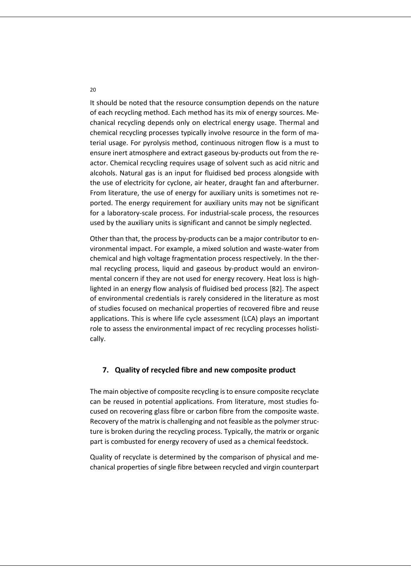It should be noted that the resource consumption depends on the nature of each recycling method. Each method has its mix of energy sources. Mechanical recycling depends only on electrical energy usage. Thermal and chemical recycling processes typically involve resource in the form of material usage. For pyrolysis method, continuous nitrogen flow is a must to ensure inert atmosphere and extract gaseous by-products out from the reactor. Chemical recycling requires usage of solvent such as acid nitric and alcohols. Natural gas is an input for fluidised bed process alongside with the use of electricity for cyclone, air heater, draught fan and afterburner. From literature, the use of energy for auxiliary units is sometimes not reported. The energy requirement for auxiliary units may not be significant for a laboratory-scale process. For industrial-scale process, the resources used by the auxiliary units is significant and cannot be simply neglected.

Other than that, the process by-products can be a major contributor to environmental impact. For example, a mixed solution and waste-water from chemical and high voltage fragmentation process respectively. In the thermal recycling process, liquid and gaseous by-product would an environmental concern if they are not used for energy recovery. Heat loss is highlighted in an energy flow analysis of fluidised bed process [82]. The aspect of environmental credentials is rarely considered in the literature as most of studies focused on mechanical properties of recovered fibre and reuse applications. This is where life cycle assessment (LCA) plays an important role to assess the environmental impact of rec recycling processes holistically.

#### **7. Quality of recycled fibre and new composite product**

The main objective of composite recycling is to ensure composite recyclate can be reused in potential applications. From literature, most studies focused on recovering glass fibre or carbon fibre from the composite waste. Recovery of the matrix is challenging and not feasible as the polymer structure is broken during the recycling process. Typically, the matrix or organic part is combusted for energy recovery of used as a chemical feedstock.

Quality of recyclate is determined by the comparison of physical and mechanical properties of single fibre between recycled and virgin counterpart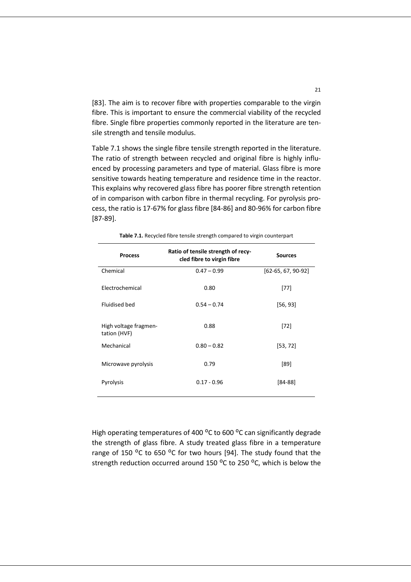[83]. The aim is to recover fibre with properties comparable to the virgin fibre. This is important to ensure the commercial viability of the recycled fibre. Single fibre properties commonly reported in the literature are tensile strength and tensile modulus.

Table 7.1 shows the single fibre tensile strength reported in the literature. The ratio of strength between recycled and original fibre is highly influenced by processing parameters and type of material. Glass fibre is more sensitive towards heating temperature and residence time in the reactor. This explains why recovered glass fibre has poorer fibre strength retention of in comparison with carbon fibre in thermal recycling. For pyrolysis process, the ratio is 17-67% for glass fibre [84-86] and 80-96% for carbon fibre [87-89].

| <b>Process</b>                        | Ratio of tensile strength of recy-<br>cled fibre to virgin fibre | <b>Sources</b>       |
|---------------------------------------|------------------------------------------------------------------|----------------------|
| Chemical                              | $0.47 - 0.99$                                                    | $[62-65, 67, 90-92]$ |
| Electrochemical                       | 0.80                                                             | $[77]$               |
| Fluidised bed                         | $0.54 - 0.74$                                                    | [56, 93]             |
| High voltage fragmen-<br>tation (HVF) | 0.88                                                             | $[72]$               |
| Mechanical                            | $0.80 - 0.82$                                                    | [53, 72]             |
| Microwave pyrolysis                   | 0.79                                                             | [89]                 |
| Pyrolysis                             | $0.17 - 0.96$                                                    | [84-88]              |

**Table 7.1.** Recycled fibre tensile strength compared to virgin counterpart

High operating temperatures of 400 °C to 600 °C can significantly degrade the strength of glass fibre. A study treated glass fibre in a temperature range of 150 °C to 650 °C for two hours [94]. The study found that the strength reduction occurred around 150  $^{\circ}$ C to 250  $^{\circ}$ C, which is below the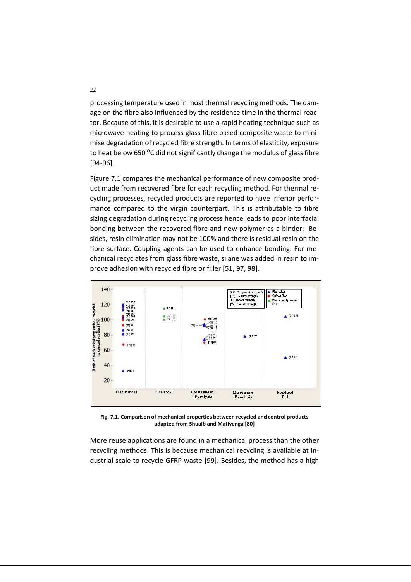processing temperature used in most thermal recycling methods. The damage on the fibre also influenced by the residence time in the thermal reactor. Because of this, it is desirable to use a rapid heating technique such as microwave heating to process glass fibre based composite waste to minimise degradation of recycled fibre strength. In terms of elasticity, exposure to heat below 650 °C did not significantly change the modulus of glass fibre [94-96].

Figure 7.1 compares the mechanical performance of new composite product made from recovered fibre for each recycling method. For thermal recycling processes, recycled products are reported to have inferior performance compared to the virgin counterpart. This is attributable to fibre sizing degradation during recycling process hence leads to poor interfacial bonding between the recovered fibre and new polymer as a binder. Besides, resin elimination may not be 100% and there is residual resin on the fibre surface. Coupling agents can be used to enhance bonding. For mechanical recyclates from glass fibre waste, silane was added in resin to improve adhesion with recycled fibre or filler [51, 97, 98].



**Fig. 7.1. Comparison of mechanical properties between recycled and control products adapted from Shuaib and Mativenga [80]**

More reuse applications are found in a mechanical process than the other recycling methods. This is because mechanical recycling is available at industrial scale to recycle GFRP waste [99]. Besides, the method has a high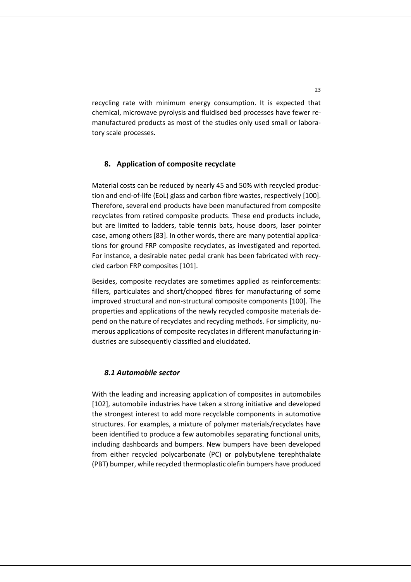recycling rate with minimum energy consumption. It is expected that chemical, microwave pyrolysis and fluidised bed processes have fewer remanufactured products as most of the studies only used small or laboratory scale processes.

# **8. Application of composite recyclate**

Material costs can be reduced by nearly 45 and 50% with recycled production and end-of-life (EoL) glass and carbon fibre wastes, respectively [100]. Therefore, several end products have been manufactured from composite recyclates from retired composite products. These end products include, but are limited to ladders, table tennis bats, house doors, laser pointer case, among others [83]. In other words, there are many potential applications for ground FRP composite recyclates, as investigated and reported. For instance, a desirable natec pedal crank has been fabricated with recycled carbon FRP composites [101].

Besides, composite recyclates are sometimes applied as reinforcements: fillers, particulates and short/chopped fibres for manufacturing of some improved structural and non-structural composite components [100]. The properties and applications of the newly recycled composite materials depend on the nature of recyclates and recycling methods. For simplicity, numerous applications of composite recyclates in different manufacturing industries are subsequently classified and elucidated.

#### *8.1 Automobile sector*

With the leading and increasing application of composites in automobiles [102], automobile industries have taken a strong initiative and developed the strongest interest to add more recyclable components in automotive structures. For examples, a mixture of polymer materials/recyclates have been identified to produce a few automobiles separating functional units, including dashboards and bumpers. New bumpers have been developed from either recycled polycarbonate (PC) or polybutylene terephthalate (PBT) bumper, while recycled thermoplastic olefin bumpers have produced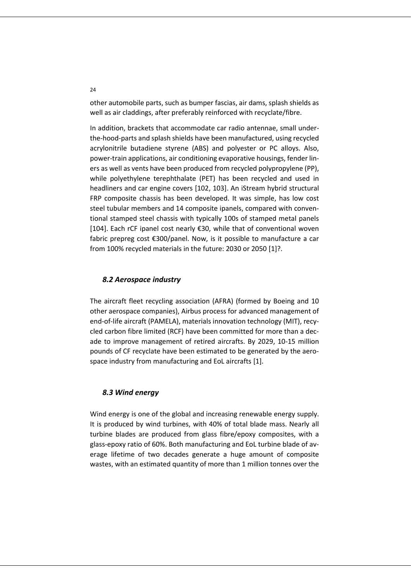other automobile parts, such as bumper fascias, air dams, splash shields as well as air claddings, after preferably reinforced with recyclate/fibre.

In addition, brackets that accommodate car radio antennae, small underthe-hood-parts and splash shields have been manufactured, using recycled acrylonitrile butadiene styrene (ABS) and polyester or PC alloys. Also, power-train applications, air conditioning evaporative housings, fender liners as well as vents have been produced from recycled polypropylene (PP), while polyethylene terephthalate (PET) has been recycled and used in headliners and car engine covers [102, 103]. An iStream hybrid structural FRP composite chassis has been developed. It was simple, has low cost steel tubular members and 14 composite ipanels, compared with conventional stamped steel chassis with typically 100s of stamped metal panels [104]. Each rCF ipanel cost nearly €30, while that of conventional woven fabric prepreg cost €300/panel. Now, is it possible to manufacture a car from 100% recycled materials in the future: 2030 or 2050 [1]?.

## *8.2 Aerospace industry*

The aircraft fleet recycling association (AFRA) (formed by Boeing and 10 other aerospace companies), Airbus process for advanced management of end-of-life aircraft (PAMELA), materials innovation technology (MIT), recycled carbon fibre limited (RCF) have been committed for more than a decade to improve management of retired aircrafts. By 2029, 10-15 million pounds of CF recyclate have been estimated to be generated by the aerospace industry from manufacturing and EoL aircrafts [1].

#### *8.3 Wind energy*

Wind energy is one of the global and increasing renewable energy supply. It is produced by wind turbines, with 40% of total blade mass. Nearly all turbine blades are produced from glass fibre/epoxy composites, with a glass-epoxy ratio of 60%. Both manufacturing and EoL turbine blade of average lifetime of two decades generate a huge amount of composite wastes, with an estimated quantity of more than 1 million tonnes over the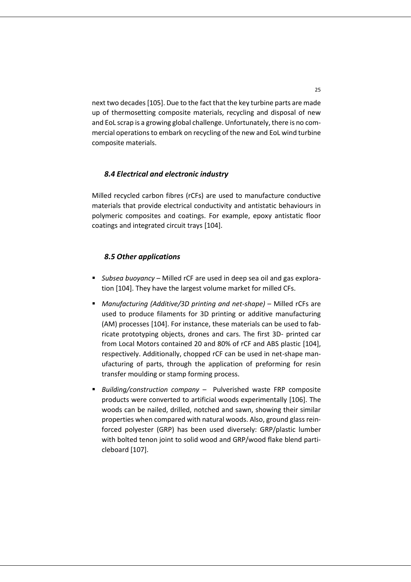next two decades [105]. Due to the fact that the key turbine parts are made up of thermosetting composite materials, recycling and disposal of new and EoL scrap is a growing global challenge. Unfortunately, there is no commercial operations to embark on recycling of the new and EoL wind turbine composite materials.

# *8.4 Electrical and electronic industry*

Milled recycled carbon fibres (rCFs) are used to manufacture conductive materials that provide electrical conductivity and antistatic behaviours in polymeric composites and coatings. For example, epoxy antistatic floor coatings and integrated circuit trays [104].

#### *8.5 Other applications*

- *Subsea buoyancy* Milled rCF are used in deep sea oil and gas exploration [104]. They have the largest volume market for milled CFs.
- *Manufacturing (Additive/3D printing and net-shape)* Milled rCFs are used to produce filaments for 3D printing or additive manufacturing (AM) processes [104]. For instance, these materials can be used to fabricate prototyping objects, drones and cars. The first 3D- printed car from Local Motors contained 20 and 80% of rCF and ABS plastic [104], respectively. Additionally, chopped rCF can be used in net-shape manufacturing of parts, through the application of preforming for resin transfer moulding or stamp forming process.
- *Building/construction company* Pulverished waste FRP composite products were converted to artificial woods experimentally [106]. The woods can be nailed, drilled, notched and sawn, showing their similar properties when compared with natural woods. Also, ground glass reinforced polyester (GRP) has been used diversely: GRP/plastic lumber with bolted tenon joint to solid wood and GRP/wood flake blend particleboard [107].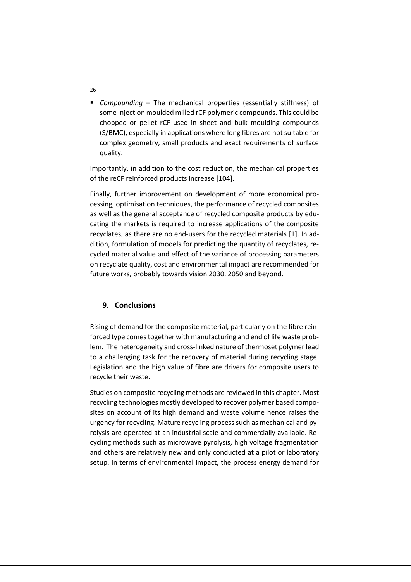▪ *Compounding* – The mechanical properties (essentially stiffness) of some injection moulded milled rCF polymeric compounds. This could be chopped or pellet rCF used in sheet and bulk moulding compounds (S/BMC), especially in applications where long fibres are not suitable for complex geometry, small products and exact requirements of surface quality.

Importantly, in addition to the cost reduction, the mechanical properties of the reCF reinforced products increase [104].

Finally, further improvement on development of more economical processing, optimisation techniques, the performance of recycled composites as well as the general acceptance of recycled composite products by educating the markets is required to increase applications of the composite recyclates, as there are no end-users for the recycled materials [1]. In addition, formulation of models for predicting the quantity of recyclates, recycled material value and effect of the variance of processing parameters on recyclate quality, cost and environmental impact are recommended for future works, probably towards vision 2030, 2050 and beyond.

## **9. Conclusions**

Rising of demand for the composite material, particularly on the fibre reinforced type comes together with manufacturing and end of life waste problem. The heterogeneity and cross-linked nature of thermoset polymer lead to a challenging task for the recovery of material during recycling stage. Legislation and the high value of fibre are drivers for composite users to recycle their waste.

Studies on composite recycling methods are reviewed in this chapter. Most recycling technologies mostly developed to recover polymer based composites on account of its high demand and waste volume hence raises the urgency for recycling. Mature recycling process such as mechanical and pyrolysis are operated at an industrial scale and commercially available. Recycling methods such as microwave pyrolysis, high voltage fragmentation and others are relatively new and only conducted at a pilot or laboratory setup. In terms of environmental impact, the process energy demand for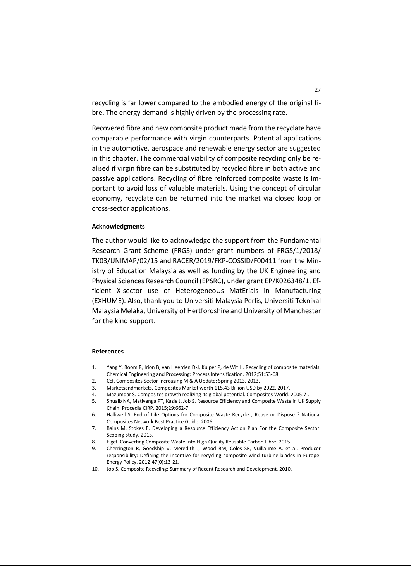recycling is far lower compared to the embodied energy of the original fibre. The energy demand is highly driven by the processing rate.

Recovered fibre and new composite product made from the recyclate have comparable performance with virgin counterparts. Potential applications in the automotive, aerospace and renewable energy sector are suggested in this chapter. The commercial viability of composite recycling only be realised if virgin fibre can be substituted by recycled fibre in both active and passive applications. Recycling of fibre reinforced composite waste is important to avoid loss of valuable materials. Using the concept of circular economy, recyclate can be returned into the market via closed loop or cross-sector applications.

#### **Acknowledgments**

The author would like to acknowledge the support from the Fundamental Research Grant Scheme (FRGS) under grant numbers of FRGS/1/2018/ TK03/UNIMAP/02/15 and RACER/2019/FKP-COSSID/F00411 from the Ministry of Education Malaysia as well as funding by the UK Engineering and Physical Sciences Research Council (EPSRC), under grant EP/K026348/1, Efficient X-sector use of HeterogeneoUs MatErials in Manufacturing (EXHUME). Also, thank you to Universiti Malaysia Perlis, Universiti Teknikal Malaysia Melaka, University of Hertfordshire and University of Manchester for the kind support.

#### **References**

- 1. Yang Y, Boom R, Irion B, van Heerden D-J, Kuiper P, de Wit H. Recycling of composite materials. Chemical Engineering and Processing: Process Intensification. 2012;51:53-68.
- 2. Ccf. Composites Sector Increasing M & A Update: Spring 2013. 2013.
- 3. Marketsandmarkets. Composites Market worth 115.43 Billion USD by 2022. 2017.
- 4. Mazumdar S. Composites growth realizing its global potential. Composites World. 2005:7-.
- 5. Shuaib NA, Mativenga PT, Kazie J, Job S. Resource Efficiency and Composite Waste in UK Supply Chain. Procedia CIRP. 2015;29:662-7.
- 6. Halliwell S. End of Life Options for Composite Waste Recycle , Reuse or Dispose ? National Composites Network Best Practice Guide. 2006.
- 7. Bains M, Stokes E. Developing a Resource Efficiency Action Plan For the Composite Sector: Scoping Study. 2013.
- 8. Elgcf. Converting Composite Waste Into High Quality Reusable Carbon Fibre. 2015.
- 9. Cherrington R, Goodship V, Meredith J, Wood BM, Coles SR, Vuillaume A, et al. Producer responsibility: Defining the incentive for recycling composite wind turbine blades in Europe. Energy Policy. 2012;47(0):13-21.
- 10. Job S. Composite Recycling: Summary of Recent Research and Development. 2010.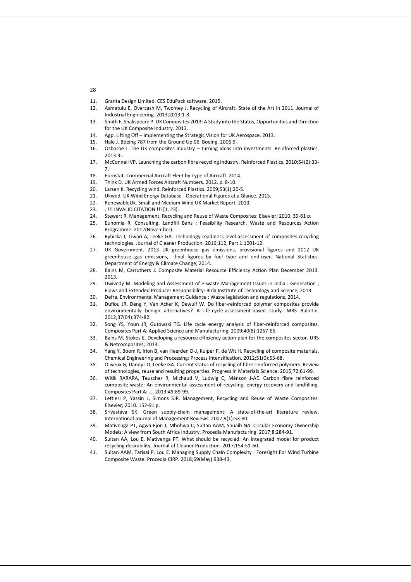- 11. Granta Design Limited. CES EduPack software. 2015.
- 12. Asmatulu E, Overcash M, Twomey J. Recycling of Aircraft: State of the Art in 2011. Journal of Industrial Engineering. 2013;2013:1-8.
- 13. Smith F, Shakspeare P. UK Composites 2013: A Study into the Status, Opportunities and Direction for the UK Composite Industry. 2013.
- 14. Agp. Lifting Off Implementing the Strategic Vision for UK Aerospace. 2013.
- 15. Hale J. Boeing 787 from the Ground Up 06. Boeing. 2006:9-.
- 16. Osborne J. The UK composites industry turning ideas into investments. Reinforced plastics. 2013:3-.
- 17. McConnell VP. Launching the carbon fibre recycling industry. Reinforced Plastics. 2010;54(2):33- 7.
- 18. Eurostat. Commercial Aircraft Fleet by Type of Aircraft. 2014.
- 19. Think D. UK Armed Forces Aircraft Numbers. 2012. p. 8-10.
- 20. Larsen K. Recycling wind. Reinforced Plastics. 2009;53(1):20-5.
- 21. Ukwed. UK Wind Energy Database Operational Figures at a Glance. 2015.
- 22. RenewableUk. Small and Medium Wind UK Market Report. 2013.
- 23. . !!! INVALID CITATION !!! [1, 23].
- 24. Stewart R. Management, Recycling and Reuse of Waste Composites: Elsevier; 2010. 39-61 p.
- 25. Eunomia R, Consulting. Landfill Bans : Feasibility Research. Waste and Resources Action Programme. 2012(November).
- 26. Rybicka J, Tiwari A, Leeke GA. Technology readiness level assessment of composites recycling technologies. Journal of Cleaner Production. 2016;112, Part 1:1001-12.
- 27. UK Government. 2013 UK greenhouse gas emissions, provisional figures and 2012 UK greenhouse gas emissions, final figures by fuel type and end-user. National Statistics: Department of Energy & Climate Change; 2014.
- 28. Bains M, Carruthers J. Composite Material Resource Efficiency Action Plan December 2013. 2013.
- 29. Dwivedy M. Modeling and Assessment of e-waste Management Issues in India : Generation , Flows and Extended Producer Responsibility: Birla Institute of Technology and Science; 2013.
- 30. Defra. Environmental Management Guidance : Waste legislation and regulations. 2014.
- 31. Duflou JR, Deng Y, Van Acker K, Dewulf W. Do fiber-reinforced polymer composites provide environmentally benign alternatives? A life-cycle-assessment-based study. MRS Bulletin. 2012;37(04):374-82.
- 32. Song YS, Youn JR, Gutowski TG. Life cycle energy analysis of fiber-reinforced composites. Composites Part A: Applied Science and Manufacturing. 2009;40(8):1257-65.
- 33. Bains M, Stokes E. Developing a resource efficiency action plan for the composites sector. URS & Netcomposites; 2013.
- 34. Yang Y, Boom R, Irion B, van Heerden D-J, Kuiper P, de Wit H. Recycling of composite materials. Chemical Engineering and Processing: Process Intensification. 2012;51(0):53-68.
- 35. Oliveux G, Dandy LO, Leeke GA. Current status of recycling of fibre reinforced polymers: Review of technologies, reuse and resulting properties. Progress in Materials Science. 2015;72:61-99.
- 36. Witik RARARA, Teuscher R, Michaud V, Ludwig C, Månson J-AE. Carbon fibre reinforced composite waste: An environmental assessment of recycling, energy recovery and landfilling. Composites Part A: …. 2013;49:89-99.
- 37. Lettieri P, Yassin L, Simons SJR. Management, Recycling and Reuse of Waste Composites: Elsevier; 2010. 152-91 p.
- 38. Srivastava SK. Green supply-chain management: A state-of-the-art literature review. International Journal of Management Reviews. 2007;9(1):53-80.
- 39. Mativenga PT, Agwa-Ejon J, Mbohwa C, Sultan AAM, Shuaib NA. Circular Economy Ownership Models: A view from South Africa Industry. Procedia Manufacturing. 2017;8:284-91.
- 40. Sultan AA, Lou E, Mativenga PT. What should be recycled: An integrated model for product recycling desirability. Journal of Cleaner Production. 2017;154:51-60.
- 41. Sultan AAM, Tarisai P, Lou E. Managing Supply Chain Complexity : Foresight For Wind Turbine Composite Waste. Procedia CIRP. 2018;69(May):938-43.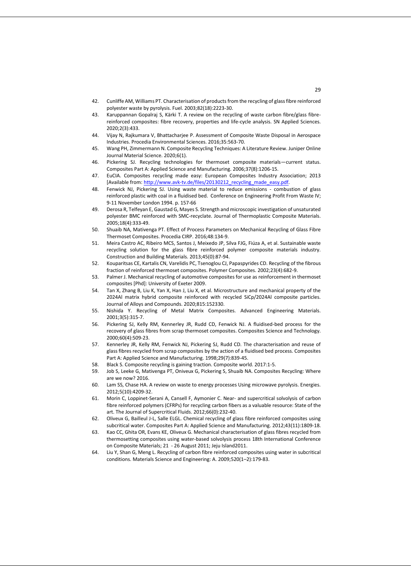- 42. Cunliffe AM, Williams PT. Characterisation of products from the recycling of glass fibre reinforced polyester waste by pyrolysis. Fuel. 2003;82(18):2223-30.
- 43. Karuppannan Gopalraj S, Kärki T. A review on the recycling of waste carbon fibre/glass fibrereinforced composites: fibre recovery, properties and life-cycle analysis. SN Applied Sciences. 2020;2(3):433.
- 44. Vijay N, Rajkumara V, Bhattacharjee P. Assessment of Composite Waste Disposal in Aerospace Industries. Procedia Environmental Sciences. 2016;35:563-70.
- 45. Wang PH, Zimmermann N. Composite Recycling Techniques: A Literature Review. Juniper Online Journal Material Science. 2020;6(1).
- 46. Pickering SJ. Recycling technologies for thermoset composite materials—current status. Composites Part A: Applied Science and Manufacturing. 2006;37(8):1206-15.
- 47. EuCIA. Composites recycling made easy: European Composites Industry Association; 2013 [Available from[: http://www.avk-tv.de/files/20130212\\_recycling\\_made\\_easy.pdf.](http://www.avk-tv.de/files/20130212_recycling_made_easy.pdf)
- 48. Fenwick NJ, Pickering SJ. Using waste material to reduce emissions combustion of glass reinforced plastic with coal in a fluidised bed. Conference on Engineering Profit From Waste IV; 9-11 November London 1994. p. 157-66
- 49. Derosa R, Telfeyan E, Gaustad G, Mayes S. Strength and microscopic investigation of unsaturated polyester BMC reinforced with SMC-recyclate. Journal of Thermoplastic Composite Materials. 2005;18(4):333-49.
- 50. Shuaib NA, Mativenga PT. Effect of Process Parameters on Mechanical Recycling of Glass Fibre Thermoset Composites. Procedia CIRP. 2016;48:134-9.
- 51. Meira Castro AC, Ribeiro MCS, Santos J, Meixedo JP, Silva FJG, Fiúza A, et al. Sustainable waste recycling solution for the glass fibre reinforced polymer composite materials industry. Construction and Building Materials. 2013;45(0):87-94.
- 52. Kouparitsas CE, Kartalis CN, Varelidis PC, Tsenoglou CJ, Papaspyrides CD. Recycling of the fibrous fraction of reinforced thermoset composites. Polymer Composites. 2002;23(4):682-9.
- 53. Palmer J. Mechanical recycling of automotive composites for use as reinforcement in thermoset composites [Phd]: University of Exeter 2009.
- 54. Tan X, Zhang B, Liu K, Yan X, Han J, Liu X, et al. Microstructure and mechanical property of the 2024Al matrix hybrid composite reinforced with recycled SiCp/2024Al composite particles. Journal of Alloys and Compounds. 2020;815:152330.
- 55. Nishida Y. Recycling of Metal Matrix Composites. Advanced Engineering Materials. 2001;3(5):315-7.
- 56. Pickering SJ, Kelly RM, Kennerley JR, Rudd CD, Fenwick NJ. A fluidised-bed process for the recovery of glass fibres from scrap thermoset composites. Composites Science and Technology. 2000;60(4):509-23.
- 57. Kennerley JR, Kelly RM, Fenwick NJ, Pickering SJ, Rudd CD. The characterisation and reuse of glass fibres recycled from scrap composites by the action of a fluidised bed process. Composites Part A: Applied Science and Manufacturing. 1998;29(7):839-45.
- 58. Black S. Composite recycling is gaining traction. Composite world. 2017:1-5.
- 59. Job S, Leeke G, Mativenga PT, Oniveux G, Pickering S, Shuaib NA. Composites Recycling: Where are we now? 2016.
- 60. Lam SS, Chase HA. A review on waste to energy processes Using microwave pyrolysis. Energies. 2012;5(10):4209-32.
- 61. Morin C, Loppinet-Serani A, Cansell F, Aymonier C. Near- and supercritical solvolysis of carbon fibre reinforced polymers (CFRPs) for recycling carbon fibers as a valuable resource: State of the art. The Journal of Supercritical Fluids. 2012;66(0):232-40.
- 62. Oliveux G, Bailleul J-L, Salle ELGL. Chemical recycling of glass fibre reinforced composites using subcritical water. Composites Part A: Applied Science and Manufacturing. 2012;43(11):1809-18.
- 63. Kao CC, Ghita OR, Evans KE, Oliveux G. Mechanical characterisation of glass fibres recycled from thermosetting composites using water-based solvolysis process 18th International Conference on Composite Materials; 21 - 26 August 2011; Jeju Island2011.
- 64. Liu Y, Shan G, Meng L. Recycling of carbon fibre reinforced composites using water in subcritical conditions. Materials Science and Engineering: A. 2009;520(1–2):179-83.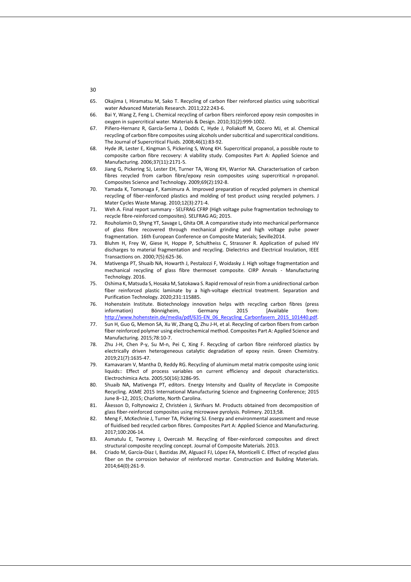- 65. Okajima I, Hiramatsu M, Sako T. Recycling of carbon fiber reinforced plastics using subcritical water Advanced Materials Research. 2011;222:243-6.
- 66. Bai Y, Wang Z, Feng L. Chemical recycling of carbon fibers reinforced epoxy resin composites in oxygen in supercritical water. Materials & Design. 2010;31(2):999-1002.
- 67. Piñero-Hernanz R, García-Serna J, Dodds C, Hyde J, Poliakoff M, Cocero MJ, et al. Chemical recycling of carbon fibre composites using alcohols under subcritical and supercritical conditions. The Journal of Supercritical Fluids. 2008;46(1):83-92.
- 68. Hyde JR, Lester E, Kingman S, Pickering S, Wong KH. Supercritical propanol, a possible route to composite carbon fibre recovery: A viability study. Composites Part A: Applied Science and Manufacturing. 2006;37(11):2171-5.
- 69. Jiang G, Pickering SJ, Lester EH, Turner TA, Wong KH, Warrior NA. Characterisation of carbon fibres recycled from carbon fibre/epoxy resin composites using supercritical n-propanol. Composites Science and Technology. 2009;69(2):192-8.
- 70. Yamada K, Tomonaga F, Kamimura A. Improved preparation of recycled polymers in chemical recycling of fiber-reinforced plastics and molding of test product using recycled polymers. J Mater Cycles Waste Manag. 2010;12(3):271-4.
- 71. Weh A. Final report summary SELFRAG CFRP (High voltage pulse fragmentation technology to recycle fibre-reinforced composites). SELFRAG AG; 2015.
- 72. Rouholamin D, Shyng YT, Savage L, Ghita OR. A comparative study into mechanical performance of glass fibre recovered through mechanical grinding and high voltage pulse power fragmentation. 16th European Conference on Composite Materials; Seville2014.
- 73. Bluhm H, Frey W, Giese H, Hoppe P, Schultheiss C, Strassner R. Application of pulsed HV discharges to material fragmentation and recycling. Dielectrics and Electrical Insulation, IEEE Transactions on. 2000;7(5):625-36.
- 74. Mativenga PT, Shuaib NA, Howarth J, Pestalozzi F, Woidasky J. High voltage fragmentation and mechanical recycling of glass fibre thermoset composite. CIRP Annals - Manufacturing Technology. 2016.
- 75. Oshima K, Matsuda S, Hosaka M, Satokawa S. Rapid removal of resin from a unidirectional carbon fiber reinforced plastic laminate by a high-voltage electrical treatment. Separation and Purification Technology. 2020;231:115885.
- 76. Hohenstein Institute. Biotechnology innovation helps with recycling carbon fibres (press information) Bönnigheim, Germany 2015 [Available from: [http://www.hohenstein.de/media/pdf/635-EN\\_06\\_Recycling\\_Carbonfasern\\_2015\\_101440.pdf.](http://www.hohenstein.de/media/pdf/635-EN_06_Recycling_Carbonfasern_2015_101440.pdf)
- 77. Sun H, Guo G, Memon SA, Xu W, Zhang Q, Zhu J-H, et al. Recycling of carbon fibers from carbon fiber reinforced polymer using electrochemical method. Composites Part A: Applied Science and Manufacturing. 2015;78:10-7.
- 78. Zhu J-H, Chen P-y, Su M-n, Pei C, Xing F. Recycling of carbon fibre reinforced plastics by electrically driven heterogeneous catalytic degradation of epoxy resin. Green Chemistry. 2019;21(7):1635-47.
- 79. Kamavaram V, Mantha D, Reddy RG. Recycling of aluminum metal matrix composite using ionic liquids:: Effect of process variables on current efficiency and deposit characteristics. Electrochimica Acta. 2005;50(16):3286-95.
- 80. Shuaib NA, Mativenga PT, editors. Energy Intensity and Quality of Recyclate in Composite Recycling. ASME 2015 International Manufacturing Science and Engineering Conference; 2015 June 8–12, 2015; Charlotte, North Carolina.
- 81. Åkesson D, Foltynowicz Z, Christéen J, Skrifvars M. Products obtained from decomposition of glass fiber-reinforced composites using microwave pyrolysis. Polimery. 2013;58.
- 82. Meng F, McKechnie J, Turner TA, Pickering SJ. Energy and environmental assessment and reuse of fluidised bed recycled carbon fibres. Composites Part A: Applied Science and Manufacturing. 2017;100:206-14.
- 83. Asmatulu E, Twomey J, Overcash M. Recycling of fiber-reinforced composites and direct structural composite recycling concept. Journal of Composite Materials. 2013.
- 84. Criado M, García-Díaz I, Bastidas JM, Alguacil FJ, López FA, Monticelli C. Effect of recycled glass fiber on the corrosion behavior of reinforced mortar. Construction and Building Materials. 2014;64(0):261-9.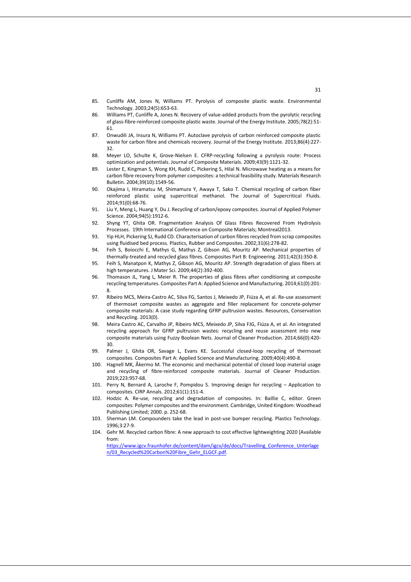- 85. Cunliffe AM, Jones N, Williams PT. Pyrolysis of composite plastic waste. Environmental Technology. 2003;24(5):653-63.
- 86. Williams PT, Cunliffe A, Jones N. Recovery of value-added products from the pyrolytic recycling of glass-fibre-reinforced composite plastic waste. Journal of the Energy Institute. 2005;78(2):51- 61.
- 87. Onwudili JA, Insura N, Williams PT. Autoclave pyrolysis of carbon reinforced composite plastic waste for carbon fibre and chemicals recovery. Journal of the Energy Institute. 2013;86(4):227- 32.
- 88. Meyer LO, Schulte K, Grove-Nielsen E. CFRP-recycling following a pyrolysis route: Process optimization and potentials. Journal of Composite Materials. 2009;43(9):1121-32.
- 89. Lester E, Kingman S, Wong KH, Rudd C, Pickering S, Hilal N. Microwave heating as a means for carbon fibre recovery from polymer composites: a technical feasibility study. Materials Research Bulletin. 2004;39(10):1549-56.
- 90. Okajima I, Hiramatsu M, Shimamura Y, Awaya T, Sako T. Chemical recycling of carbon fiber reinforced plastic using supercritical methanol. The Journal of Supercritical Fluids. 2014;91(0):68-76.
- 91. Liu Y, Meng L, Huang Y, Du J. Recycling of carbon/epoxy composites. Journal of Applied Polymer Science. 2004;94(5):1912-6.
- 92. Shyng YT, Ghita OR. Fragmentation Analysis Of Glass Fibres Recovered From Hydrolysis Processes. 19th International Conference on Composite Materials; Montreal2013.
- 93. Yip HLH, Pickering SJ, Rudd CD. Characterisation of carbon fibres recycled from scrap composites using fluidised bed process. Plastics, Rubber and Composites. 2002;31(6):278-82.
- 94. Feih S, Boiocchi E, Mathys G, Mathys Z, Gibson AG, Mouritz AP. Mechanical properties of thermally-treated and recycled glass fibres. Composites Part B: Engineering. 2011;42(3):350-8.
- 95. Feih S, Manatpon K, Mathys Z, Gibson AG, Mouritz AP. Strength degradation of glass fibers at high temperatures. J Mater Sci. 2009;44(2):392-400.
- 96. Thomason JL, Yang L, Meier R. The properties of glass fibres after conditioning at composite recycling temperatures. Composites Part A: Applied Science and Manufacturing. 2014;61(0):201- 8.
- 97. Ribeiro MCS, Meira-Castro AC, Silva FG, Santos J, Meixedo JP, Fiúza A, et al. Re-use assessment of thermoset composite wastes as aggregate and filler replacement for concrete-polymer composite materials: A case study regarding GFRP pultrusion wastes. Resources, Conservation and Recycling. 2013(0).
- 98. Meira Castro AC, Carvalho JP, Ribeiro MCS, Meixedo JP, Silva FJG, Fiúza A, et al. An integrated recycling approach for GFRP pultrusion wastes: recycling and reuse assessment into new composite materials using Fuzzy Boolean Nets. Journal of Cleaner Production. 2014;66(0):420- 30.
- 99. Palmer J, Ghita OR, Savage L, Evans KE. Successful closed-loop recycling of thermoset composites. Composites Part A: Applied Science and Manufacturing. 2009;40(4):490-8.
- 100. Hagnell MK, Åkermo M. The economic and mechanical potential of closed loop material usage and recycling of fibre-reinforced composite materials. Journal of Cleaner Production. 2019;223:957-68.
- 101. Perry N, Bernard A, Laroche F, Pompidou S. Improving design for recycling Application to composites. CIRP Annals. 2012;61(1):151-4.
- 102. Hodzic A. Re-use, recycling and degradation of composites. In: Baillie C, editor. Green composites: Polymer composites and the environment. Cambridge, United Kingdom: Woodhead Publishing Limited; 2000. p. 252-68.
- 103. Sherman LM. Compounders take the lead in post-use bumper recycling. Plastics Technology. 1996;3:27-9.
- 104. Gehr M. Recycled carbon fibre: A new approach to cost effective lightweighting 2020 [Available from:

[https://www.igcv.fraunhofer.de/content/dam/igcv/de/docs/Travelling\\_Conference\\_Unterlage](https://www.igcv.fraunhofer.de/content/dam/igcv/de/docs/Travelling_Conference_Unterlagen/03_Recycled%20Carbon%20Fibre_Gehr_ELGCF.pdf) [n/03\\_Recycled%20Carbon%20Fibre\\_Gehr\\_ELGCF.pdf.](https://www.igcv.fraunhofer.de/content/dam/igcv/de/docs/Travelling_Conference_Unterlagen/03_Recycled%20Carbon%20Fibre_Gehr_ELGCF.pdf)